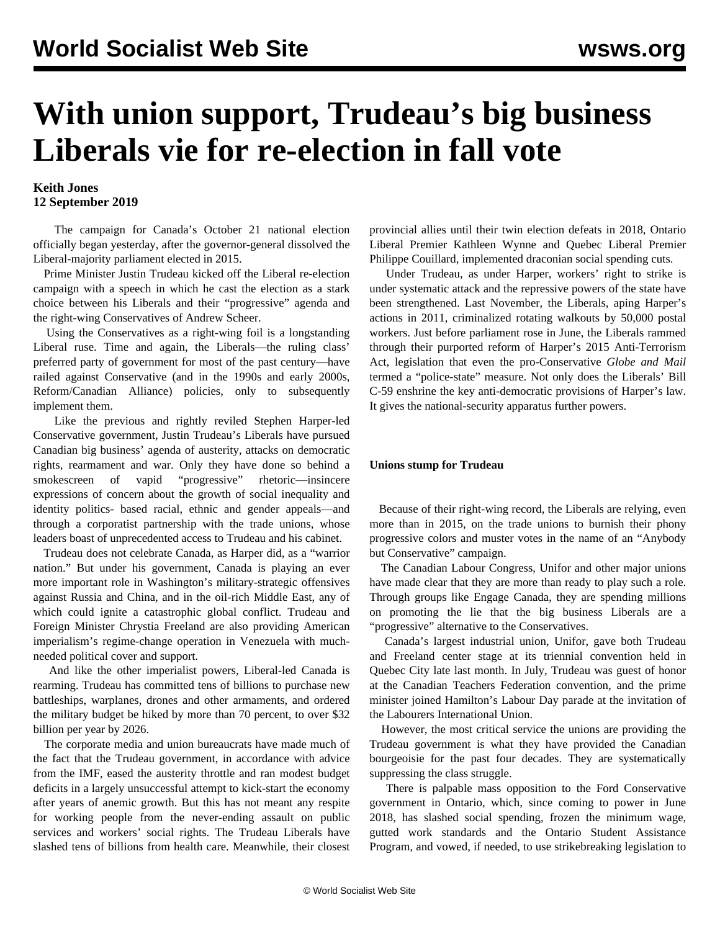# **With union support, Trudeau's big business Liberals vie for re-election in fall vote**

### **Keith Jones 12 September 2019**

 The campaign for Canada's October 21 national election officially began yesterday, after the governor-general dissolved the Liberal-majority parliament elected in 2015.

 Prime Minister Justin Trudeau kicked off the Liberal re-election campaign with a speech in which he cast the election as a stark choice between his Liberals and their "progressive" agenda and the right-wing Conservatives of Andrew Scheer.

 Using the Conservatives as a right-wing foil is a longstanding Liberal ruse. Time and again, the Liberals—the ruling class' preferred party of government for most of the past century—have railed against Conservative (and in the 1990s and early 2000s, Reform/Canadian Alliance) policies, only to subsequently implement them.

 Like the previous and rightly reviled Stephen Harper-led Conservative government, Justin Trudeau's Liberals have pursued Canadian big business' agenda of austerity, attacks on democratic rights, rearmament and war. Only they have done so behind a smokescreen of vapid "progressive" rhetoric—insincere expressions of concern about the growth of social inequality and identity politics- based racial, ethnic and gender appeals—and through a corporatist partnership with the trade unions, whose leaders boast of unprecedented access to Trudeau and his cabinet.

 Trudeau does not celebrate Canada, as Harper did, as a "warrior nation." But under his government, Canada is playing an ever more important role in Washington's military-strategic offensives against Russia and China, and in the oil-rich Middle East, any of which could ignite a catastrophic global conflict. Trudeau and Foreign Minister Chrystia Freeland are also providing American imperialism's regime-change operation in Venezuela with muchneeded political cover and support.

 And like the other imperialist powers, Liberal-led Canada is rearming. Trudeau has committed tens of billions to purchase new battleships, warplanes, drones and other armaments, and ordered the military budget be hiked by more than 70 percent, to over \$32 billion per year by 2026.

 The corporate media and union bureaucrats have made much of the fact that the Trudeau government, in accordance with advice from the IMF, eased the austerity throttle and ran modest budget deficits in a largely unsuccessful attempt to kick-start the economy after years of anemic growth. But this has not meant any respite for working people from the never-ending assault on public services and workers' social rights. The Trudeau Liberals have slashed tens of billions from health care. Meanwhile, their closest

provincial allies until their twin election defeats in 2018, Ontario Liberal Premier Kathleen Wynne and Quebec Liberal Premier Philippe Couillard, implemented draconian social spending cuts.

 Under Trudeau, as under Harper, workers' right to strike is under systematic attack and the repressive powers of the state have been strengthened. Last November, the Liberals, aping Harper's actions in 2011, criminalized rotating walkouts by 50,000 postal workers. Just before parliament rose in June, the Liberals rammed through their purported reform of Harper's 2015 Anti-Terrorism Act, legislation that even the pro-Conservative *Globe and Mail* termed a "police-state" measure. Not only does the Liberals' Bill C-59 enshrine the key anti-democratic provisions of Harper's law. It gives the national-security apparatus further powers.

#### **Unions stump for Trudeau**

 Because of their right-wing record, the Liberals are relying, even more than in 2015, on the trade unions to burnish their phony progressive colors and muster votes in the name of an "Anybody but Conservative" campaign.

 The Canadian Labour Congress, Unifor and other major unions have made clear that they are more than ready to play such a role. Through groups like Engage Canada, they are spending millions on promoting the lie that the big business Liberals are a "progressive" alternative to the Conservatives.

 Canada's largest industrial union, Unifor, gave both Trudeau and Freeland center stage at its triennial convention held in Quebec City late last month. In July, Trudeau was guest of honor at the Canadian Teachers Federation convention, and the prime minister joined Hamilton's Labour Day parade at the invitation of the Labourers International Union.

 However, the most critical service the unions are providing the Trudeau government is what they have provided the Canadian bourgeoisie for the past four decades. They are systematically suppressing the class struggle.

 There is palpable mass opposition to the Ford Conservative government in Ontario, which, since coming to power in June 2018, has slashed social spending, frozen the minimum wage, gutted work standards and the Ontario Student Assistance Program, and vowed, if needed, to use strikebreaking legislation to